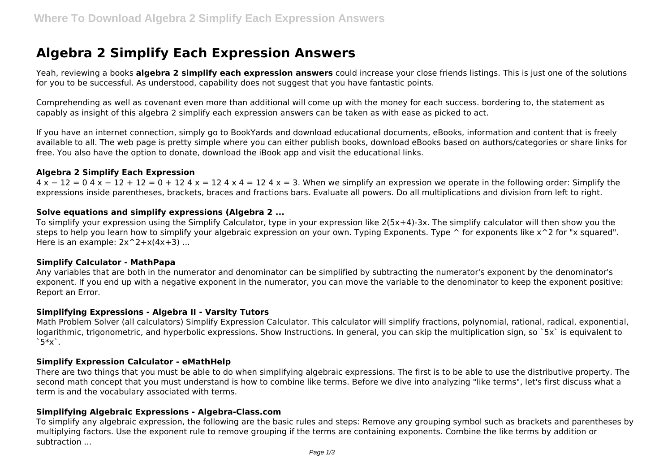# **Algebra 2 Simplify Each Expression Answers**

Yeah, reviewing a books **algebra 2 simplify each expression answers** could increase your close friends listings. This is just one of the solutions for you to be successful. As understood, capability does not suggest that you have fantastic points.

Comprehending as well as covenant even more than additional will come up with the money for each success. bordering to, the statement as capably as insight of this algebra 2 simplify each expression answers can be taken as with ease as picked to act.

If you have an internet connection, simply go to BookYards and download educational documents, eBooks, information and content that is freely available to all. The web page is pretty simple where you can either publish books, download eBooks based on authors/categories or share links for free. You also have the option to donate, download the iBook app and visit the educational links.

#### **Algebra 2 Simplify Each Expression**

 $4 \times -12 = 04 \times -12 + 12 = 0 + 124 \times = 124 \times 4 = 124 \times = 3$ . When we simplify an expression we operate in the following order: Simplify the expressions inside parentheses, brackets, braces and fractions bars. Evaluate all powers. Do all multiplications and division from left to right.

## **Solve equations and simplify expressions (Algebra 2 ...**

To simplify your expression using the Simplify Calculator, type in your expression like 2(5x+4)-3x. The simplify calculator will then show you the steps to help you learn how to simplify your algebraic expression on your own. Typing Exponents. Type  $\hat{ }$  for exponents like x $\hat{ }$ 2 for "x squared". Here is an example:  $2x^2+ x(4x+3)$  ...

#### **Simplify Calculator - MathPapa**

Any variables that are both in the numerator and denominator can be simplified by subtracting the numerator's exponent by the denominator's exponent. If you end up with a negative exponent in the numerator, you can move the variable to the denominator to keep the exponent positive: Report an Error.

#### **Simplifying Expressions - Algebra II - Varsity Tutors**

Math Problem Solver (all calculators) Simplify Expression Calculator. This calculator will simplify fractions, polynomial, rational, radical, exponential, logarithmic, trigonometric, and hyperbolic expressions. Show Instructions. In general, you can skip the multiplication sign, so `5x` is equivalent to  $5*x$ .

#### **Simplify Expression Calculator - eMathHelp**

There are two things that you must be able to do when simplifying algebraic expressions. The first is to be able to use the distributive property. The second math concept that you must understand is how to combine like terms. Before we dive into analyzing "like terms", let's first discuss what a term is and the vocabulary associated with terms.

#### **Simplifying Algebraic Expressions - Algebra-Class.com**

To simplify any algebraic expression, the following are the basic rules and steps: Remove any grouping symbol such as brackets and parentheses by multiplying factors. Use the exponent rule to remove grouping if the terms are containing exponents. Combine the like terms by addition or subtraction ...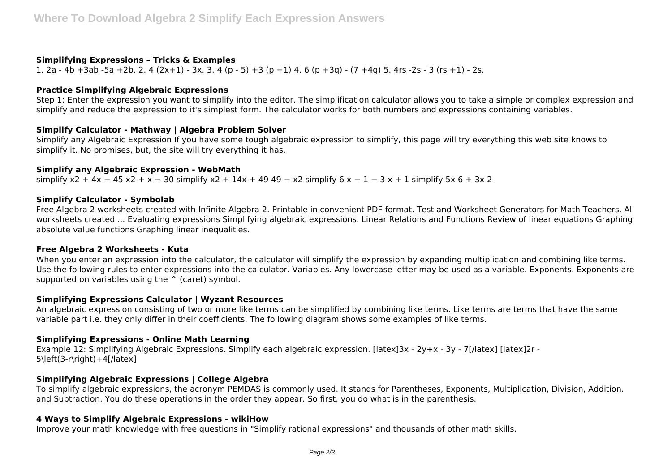## **Simplifying Expressions – Tricks & Examples**

1. 2a - 4b +3ab -5a +2b. 2. 4 (2x+1) - 3x. 3. 4 (p - 5) +3 (p +1) 4. 6 (p +3q) - (7 +4q) 5. 4rs -2s - 3 (rs +1) - 2s.

## **Practice Simplifying Algebraic Expressions**

Step 1: Enter the expression you want to simplify into the editor. The simplification calculator allows you to take a simple or complex expression and simplify and reduce the expression to it's simplest form. The calculator works for both numbers and expressions containing variables.

# **Simplify Calculator - Mathway | Algebra Problem Solver**

Simplify any Algebraic Expression If you have some tough algebraic expression to simplify, this page will try everything this web site knows to simplify it. No promises, but, the site will try everything it has.

#### **Simplify any Algebraic Expression - WebMath**

simplify  $x^2 + 4x - 45x^2 + x - 30$  simplify  $x^2 + 14x + 49$  49 − x2 simplify  $6x - 1 - 3x + 1$  simplify  $5x$  6 + 3x 2

## **Simplify Calculator - Symbolab**

Free Algebra 2 worksheets created with Infinite Algebra 2. Printable in convenient PDF format. Test and Worksheet Generators for Math Teachers. All worksheets created ... Evaluating expressions Simplifying algebraic expressions. Linear Relations and Functions Review of linear equations Graphing absolute value functions Graphing linear inequalities.

#### **Free Algebra 2 Worksheets - Kuta**

When you enter an expression into the calculator, the calculator will simplify the expression by expanding multiplication and combining like terms. Use the following rules to enter expressions into the calculator. Variables. Any lowercase letter may be used as a variable. Exponents. Exponents are supported on variables using the  $\hat{ }$  (caret) symbol.

# **Simplifying Expressions Calculator | Wyzant Resources**

An algebraic expression consisting of two or more like terms can be simplified by combining like terms. Like terms are terms that have the same variable part i.e. they only differ in their coefficients. The following diagram shows some examples of like terms.

# **Simplifying Expressions - Online Math Learning**

Example 12: Simplifying Algebraic Expressions. Simplify each algebraic expression. [latex]3x - 2y+x - 3y - 7[/latex] [latex]2r - 5\left(3-r\right)+4[/latex]

# **Simplifying Algebraic Expressions | College Algebra**

To simplify algebraic expressions, the acronym PEMDAS is commonly used. It stands for Parentheses, Exponents, Multiplication, Division, Addition. and Subtraction. You do these operations in the order they appear. So first, you do what is in the parenthesis.

# **4 Ways to Simplify Algebraic Expressions - wikiHow**

Improve your math knowledge with free questions in "Simplify rational expressions" and thousands of other math skills.